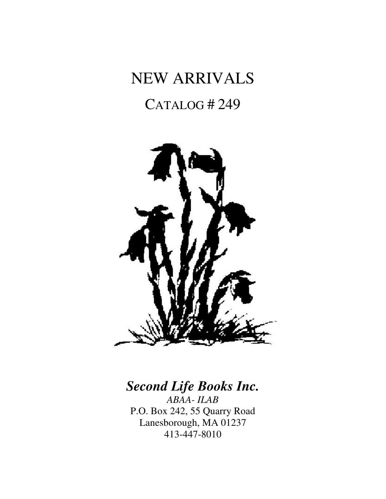# NEW ARRIVALS CATALOG # 249



# *Second Life Books Inc.*

*ABAA- ILAB*  P.O. Box 242, 55 Quarry Road Lanesborough, MA 01237 413-447-8010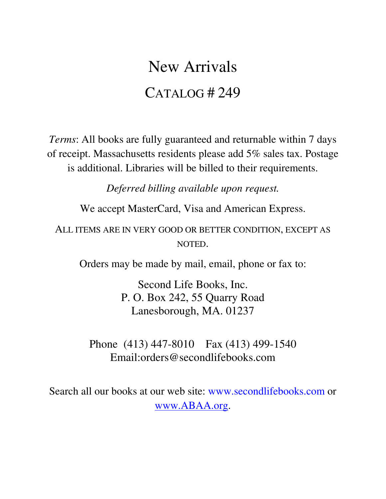# New Arrivals CATALOG # 249

*Terms*: All books are fully guaranteed and returnable within 7 days of receipt. Massachusetts residents please add 5% sales tax. Postage is additional. Libraries will be billed to their requirements.

*Deferred billing available upon request.*

We accept MasterCard, Visa and American Express.

ALL ITEMS ARE IN VERY GOOD OR BETTER CONDITION, EXCEPT AS NOTED.

Orders may be made by mail, email, phone or fax to:

Second Life Books, Inc. P. O. Box 242, 55 Quarry Road Lanesborough, MA. 01237

Phone (413) 447-8010 Fax (413) 499-1540 Email:orders@secondlifebooks.com

Search all our books at our web site: www.secondlifebooks.com or www.ABAA.org.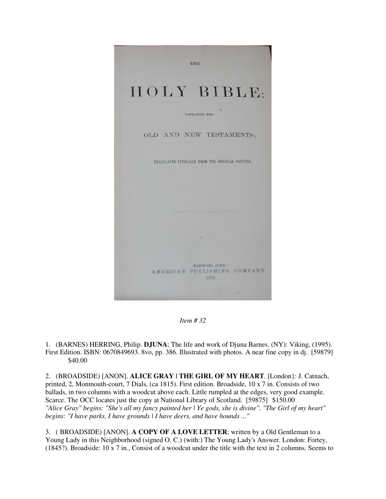

*Item # 32* 

1. (BARNES) HERRING, Philip. **DJUNA**; The life and work of Djuna Barnes. (NY): Viking, (1995). First Edition. ISBN: 0670849693. 8vo, pp. 386. Illustrated with photos. A near fine copy in dj. [59879] \$40.00

2. (BROADSIDE) [ANON]. **ALICE GRAY | THE GIRL OF MY HEART**. [London}: J. Catnach, printed, 2, Monmouth-court, 7 Dials, (ca 1815). First edition. Broadside, 10 x 7 in. Consists of two ballads, in two columns with a woodcut above each. Little rumpled at the edges, very good example. Scarce. The OCC locates just the copy at National Library of Scotland. [59875] \$150.00 *"Alice Gray" begins: "She's all my fancy painted her | Ye gods, she is divine". "The Girl of my heart" begins: "I have parks, I have grounds | I have deers, and have hounds ..."*

3. ( BROADSIDE) [ANON]. **A COPY OF A LOVE LETTER**; written by a Old Gentleman to a Young Lady in this Neighborhood (signed O. C.) (with:) The Young Lady's Answer. London: Fortey, (1845?). Broadside: 10 x 7 in., Consist of a woodcut under the title with the text in 2 columns. Seems to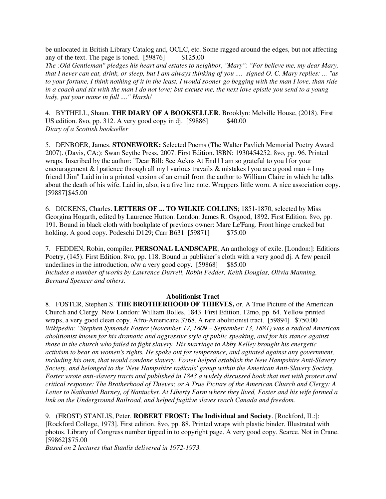be unlocated in British Library Catalog and, OCLC, etc. Some ragged around the edges, but not affecting any of the text. The page is toned.  $[59876]$  \$125.00

*The :Old Gentleman" pledges his heart and estates to neighbor, "Mary": "For believe me, my dear Mary, that I never can eat, drink, or sleep, but I am always thinking of you .... signed O. C. Mary replies: ... "as to your fortune, I think nothing of it in the least, I would sooner go begging with the man I love, than ride in a coach and six with the man I do not love; but excuse me, the next love epistle you send to a young lady, put your name in full ...." Harsh!*

4. BYTHELL, Shaun. **THE DIARY OF A BOOKSELLER**. Brooklyn: Melville House, (2018). First US edition. 8vo, pp. 312. A very good copy in dj.  $[59886]$  \$40.00 *Diary of a Scottish bookseller*

5. DENBOER, James. **STONEWORK:** Selected Poems (The Walter Pavlich Memorial Poetry Award 2007). (Davis, CA:): Swan Scythe Press, 2007. First Edition. ISBN: 1930454252. 8vo, pp. 96. Printed wraps. Inscribed by the author: "Dear Bill: See Ackns At End | I am so grateful to you | for your encouragement  $\&$  | patience through all my | various travails  $\&$  mistakes | you are a good man + | my friend | Jim" Laid in in a printed version of an email from the author to William Claire in which he talks about the death of his wife. Laid in, also, is a five line note. Wrappers little worn. A nice association copy. [59887] \$45.00

6. DICKENS, Charles. **LETTERS OF ... TO WILKIE COLLINS**; 1851-1870, selected by Miss Georgina Hogarth, edited by Laurence Hutton. London: James R. Osgood, 1892. First Edition. 8vo, pp. 191. Bound in black cloth with bookplate of previous owner: Marc Le'Fang. Front hinge cracked but holding. A good copy. Podeschi D129; Carr B631 [59871] \$75.00

7. FEDDEN, Robin, compiler. **PERSONAL LANDSCAPE**; An anthology of exile. [London:]: Editions Poetry, (145). First Edition. 8vo, pp. 118. Bound in publisher's cloth with a very good dj. A few pencil underlines in the introduction,  $o/w$  a very good copy. [59868] \$85.00 *Includes a number of works by Lawrence Durrell, Robin Fedder, Keith Douglas, Olivia Manning, Bernard Spencer and others.* 

#### **Abolitionist Tract**

8. FOSTER, Stephen S. **THE BROTHERHOOD OF THIEVES,** or, A True Picture of the American Church and Clergy. New London: William Bolles, 1843. First Edition. 12mo, pp. 64. Yellow printed wraps, a very good clean copy. Afro-Americana 3768. A rare abolitionist tract. [59894] \$750.00 *Wikipedia: "Stephen Symonds Foster (November 17, 1809 – September 13, 1881) was a radical American abolitionist known for his dramatic and aggressive style of public speaking, and for his stance against those in the church who failed to fight slavery. His marriage to Abby Kelley brought his energetic activism to bear on women's rights. He spoke out for temperance, and agitated against any government, including his own, that would condone slavery. Foster helped establish the New Hampshire Anti-Slavery Society, and belonged to the 'New Hampshire radicals' group within the American Anti-Slavery Society. Foster wrote anti-slavery tracts and published in 1843 a widely discussed book that met with protest and critical response: The Brotherhood of Thieves; or A True Picture of the American Church and Clergy: A Letter to Nathaniel Barney, of Nantucket. At Liberty Farm where they lived, Foster and his wife formed a link on the Underground Railroad, and helped fugitive slaves reach Canada and freedom.*

9. (FROST) STANLIS, Peter. **ROBERT FROST: The Individual and Society**. [Rockford, IL:]: [Rockford College, 1973]. First edition. 8vo, pp. 88. Printed wraps with plastic binder. Illustrated with photos. Library of Congress number tipped in to copyright page. A very good copy. Scarce. Not in Crane. [59862] \$75.00

*Based on 2 lectures that Stanlis delivered in 1972-1973.*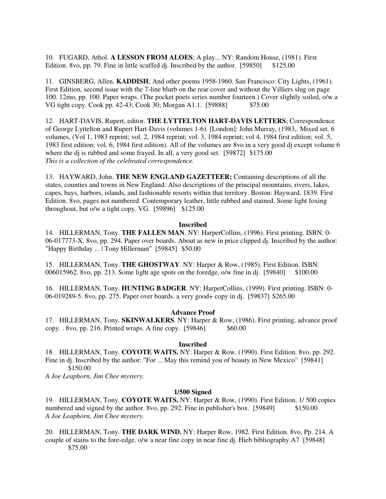10. FUGARD, Athol. **A LESSON FROM ALOES**; A play... NY: Random House, (1981). First Edition. 8vo, pp. 79. Fine in little scuffed dj. Inscribed by the author. [59850] \$125.00

11. GINSBERG, Allen. **KADDISH**; And other poems 1958-1960. San Francisco: City Lights, (1961). First Edition, second issue with the 7-line blurb on the rear cover and without the Villiers slug on page 100. 12mo, pp. 100. Paper wraps. (The pocket poets series number fourteen.) Cover slightly soiled, o/w a VG tight copy. Cook pp. 42-43; Cook 30; Morgan A1.1. [59888] \$75.00

12. HART-DAVIS, Rupert, editor. **THE LYTTELTON HART-DAVIS LETTERS**; Correspondence of George Lyttelton and Rupert Hart-Davis (volumes 1-6). [London]: John Murray, (1983,. Mixed set. 6 volumes, (Vol 1, 1983 reprint; vol. 2, 1984 reprint; vol. 3, 1984 reprint; vol 4, 1984 first edition; vol. 5, 1983 first edition; vol. 6, 1984 first edition). All of the volumes are 8vo in a very good dj except volume 6 where the dj is rubbed and some frayed. In all, a very good set. [59872] \$175.00 *This is a collection of the celebrated correspondence.*

13. HAYWARD, John. **THE NEW ENGLAND GAZETTEER;** Containing descriptions of all the states, counties and towns in New England: Also descriptions of the principal mountains, rivers, lakes, capes, bays, harbors, islands, and fashionable resorts within that territory. Boston: Hayward, 1839. First Edition. 8vo, pages not numbered. Contemporary leather, little rubbed and stained. Some light foxing throughout, but o/w a tight copy. VG.  $[59896]$  \$125.00

#### **Inscribed**

14. HILLERMAN, Tony. **THE FALLEN MAN**. NY: HarperCollins, (1996). First printing. ISBN: 0- 06-017773-X. 8vo, pp. 294. Paper over boards. About as new in price clipped dj. Inscribed by the author: "Happy Birthday ... | Tony Hillerman" [59845] \$50.00

15. HILLERMAN, Tony. **THE GHOSTWAY**. NY: Harper & Row, (1985). First Edition. ISBN: 006015962. 8vo, pp. 213. Some light age spots on the foredge, o/w fine in dj. [59840] \$100.00

16. HILLERMAN, Tony. **HUNTING BADGER**. NY: HarperCollins, (1999). First printing. ISBN: 0- 06-019289-5. 8vo, pp. 275. Paper over boards. a very good+ copy in dj. [59837] \$265.00

#### **Advance Proof**

17. HILLERMAN, Tony. **SKINWALKERS**. NY: Harper & Row, (1986). First printing, advance proof copy. . 8vo, pp. 216. Printed wraps. A fine copy. [59846] \$60.00

## **Inscribed**

18. HILLERMAN, Tony. **COYOTE WAITS.** NY: Harper & Row, (1990). First Edition. 8vo, pp. 292. Fine in dj. Inscribed by the author: "For ... May this remind you of beauty in New Mexico" [59841] \$150.00

*A Joe Leaphorn, Jim Chee mystery.*

#### **1/500 Signed**

19. HILLERMAN, Tony. **COYOTE WAITS.** NY: Harper & Row, (1990). First Edition, 1/ 500 copies numbered and signed by the author. 8vo, pp. 292. Fine in publisher's box. [59849] \$150.00 *A Joe Leaphorn, Jim Chee mystery.*

20. HILLERMAN, Tony. **THE DARK WIND.** NY: Harper Row, 1982. First Edition. 8vo, Pp. 214. A couple of stains to the fore-edge. o/w a near fine copy in near fine dj. Hieb bibliography A7 [59848] \$75.00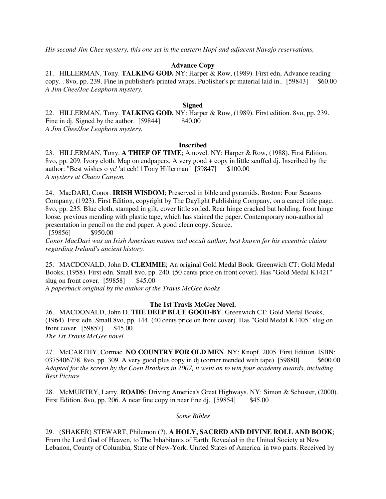*His second Jim Chee mystery, this one set in the eastern Hopi and adjacent Navajo reservations,*

# **Advance Copy**

21. HILLERMAN, Tony. **TALKING GOD.** NY: Harper & Row, (1989). First edn, Advance reading copy. . 8vo, pp. 239. Fine in publisher's printed wraps. Publisher's pr material laid in.. [59843] \$60.00 *A Jim Chee/Joe Leaphorn mystery.*

## **Signed**

22. HILLERMAN, Tony. **TALKING GOD.** NY: Harper & Row, (1989). First edition. 8vo, pp. 239. Fine in dj. Signed by the author.  $[59844]$  \$40.00 *A Jim Chee/Joe Leaphorn mystery.* 

## **Inscribed**

23. HILLERMAN, Tony. **A THIEF OF TIME**; A novel. NY: Harper & Row, (1988). First Edition. 8vo, pp. 209. Ivory cloth. Map on endpapers. A very good + copy in little scuffed dj. Inscribed by the author: "Best wishes o ye' 'at eeh! | Tony Hillerman" [59847] \$100.00 *A mystery at Chaco Canyon.*

24. MacDARI, Conor. **IRISH WISDOM**; Preserved in bible and pyramids. Boston: Four Seasons Company, (1923). First Edition, copyright by The Daylight Publishing Company, on a cancel title page. 8vo, pp. 235. Blue cloth, stamped in gilt, cover little soiled. Rear hinge cracked but holding, front hinge loose, previous mending with plastic tape, which has stained the paper. Contemporary non-authorial presentation in pencil on the end paper. A good clean copy. Scarce.

[59856] \$950.00

*Conor MacDari was an Irish American mason and occult author, best known for his eccentric claims regarding Ireland's ancient history.*

25. MACDONALD, John D. **CLEMMIE**; An original Gold Medal Book. Greenwich CT: Gold Medal Books, (1958). First edn. Small 8vo, pp. 240. (50 cents price on front cover). Has "Gold Medal K1421" slug on front cover. [59858] \$45.00

*A paperback original by the author of the Travis McGee books*

# **The 1st Travis McGee Novel.**

26. MACDONALD, John D. **THE DEEP BLUE GOOD-BY**. Greenwich CT: Gold Medal Books, (1964). First edn. Small 8vo, pp. 144. (40 cents price on front cover). Has "Gold Medal K1405" slug on front cover. [59857] \$45.00 *The 1st Travis McGee novel.*

27. McCARTHY, Cormac. **NO COUNTRY FOR OLD MEN**. NY: Knopf, 2005. First Edition. ISBN: 0375406778. 8vo, pp. 309. A very good plus copy in dj (corner mended with tape) [59880] \$600.00 *Adapted for the screen by the Coen Brothers in 2007, it went on to win four academy awards, including Best Picture.*

28. McMURTRY, Larry. **ROADS**; Driving America's Great Highways. NY: Simon & Schuster, (2000). First Edition. 8vo, pp. 206. A near fine copy in near fine dj.  $[59854]$  \$45.00

*Some Bibles* 

29. (SHAKER) STEWART, Philemon (?). **A HOLY, SACRED AND DIVINE ROLL AND BOOK**; From the Lord God of Heaven, to The Inhabitants of Earth: Revealed in the United Society at New Lebanon, County of Columbia, State of New-York, United States of America. in two parts. Received by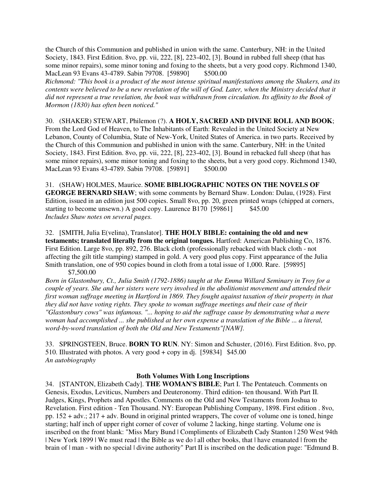the Church of this Communion and published in union with the same. Canterbury, NH: in the United Society, 1843. First Edition. 8vo, pp. vii, 222, [8], 223-402, [3]. Bound in rubbed full sheep (that has some minor repairs), some minor toning and foxing to the sheets, but a very good copy. Richmond 1340, MacLean 93 Evans 43-4789. Sabin 79708. [59890] \$500.00

*Richmond: "This book is a product of the most intense spiritual manifestations among the Shakers, and its contents were believed to be a new revelation of the will of God. Later, when the Ministry decided that it did not represent a true revelation, the book was withdrawn from circulation. Its affinity to the Book of Mormon (1830) has often been noticed."*

30. (SHAKER) STEWART, Philemon (?). **A HOLY, SACRED AND DIVINE ROLL AND BOOK**; From the Lord God of Heaven, to The Inhabitants of Earth: Revealed in the United Society at New Lebanon, County of Columbia, State of New-York, United States of America. in two parts. Received by the Church of this Communion and published in union with the same. Canterbury, NH: in the United Society, 1843. First Edition. 8vo, pp. vii, 222, [8], 223-402, [3]. Bound in rebacked full sheep (that has some minor repairs), some minor toning and foxing to the sheets, but a very good copy. Richmond 1340, MacLean 93 Evans 43-4789. Sabin 79708. [59891] \$500.00

31. (SHAW) HOLMES, Maurice. **SOME BIBLIOGRAPHIC NOTES ON THE NOVELS OF GEORGE BERNARD SHAW**; with some comments by Bernard Shaw. London: Dulau, (1928). First Edition, issued in an edition just 500 copies. Small 8vo, pp. 20, green printed wraps (chipped at corners, starting to become unsewn.) A good copy. Laurence B170 [59861] \$45.00 *Includes Shaw notes on several pages.* 

32. [SMITH, Julia E(velina), Translator]. **THE HOLY BIBLE: containing the old and new testaments; translated literally from the original tongues.** Hartford: American Publishing Co, 1876. First Edition. Large 8vo, pp. 892, 276. Black cloth (professionally rebacked with black cloth - not affecting the gilt title stamping) stamped in gold. A very good plus copy. First appearance of the Julia Smith translation, one of 950 copies bound in cloth from a total issue of 1,000. Rare. [59895] \$7,500.00

*Born in Glastonbury, Ct., Julia Smith (1792-1886) taught at the Emma Willard Seminary in Troy for a couple of years. She and her sisters were very involved in the abolitionist movement and attended their first woman suffrage meeting in Hartford in 1869. They fought against taxation of their property in that they did not have voting rights. They spoke to woman suffrage meetings and their case of their "Glastonbury cows" was infamous. "... hoping to aid the suffrage cause by demonstrating what a mere woman had accomplished ... she published at her own expense a translation of the Bible ... a literal, word-by-word translation of both the Old and New Testaments"[NAW].*

33. SPRINGSTEEN, Bruce. **BORN TO RUN**. NY: Simon and Schuster, (2016). First Edition. 8vo, pp. 510. Illustrated with photos. A very good + copy in dj. [59834] \$45.00 *An autobiography*

# **Both Volumes With Long Inscriptions**

34. [STANTON, Elizabeth Cady]. **THE WOMAN'S BIBLE**; Part I. The Pentateuch. Comments on Genesis, Exodus, Leviticus, Numbers and Deuteronomy. Third edition- ten thousand. With Part II. Judges, Kings, Prophets and Apostles. Comments on the Old and New Testaments from Joshua to Revelation. First edition - Ten Thousand. NY: European Publishing Company, 1898. First edition . 8vo, pp. 152 + adv.; 217 + adv. Bound in original printed wrappers, The cover of volume one is toned, hinge starting; half inch of upper right corner of cover of volume 2 lacking, hinge starting. Volume one is inscribed on the front blank: "Miss Mary Bund | Compliments of Elizabeth Cady Stanton | 250 West 94th | New York 1899 | We must read | the Bible as we do | all other books, that | have emanated | from the brain of  $|$  man - with no special  $|$  divine authority" Part II is inscribed on the dedication page: "Edmund B.